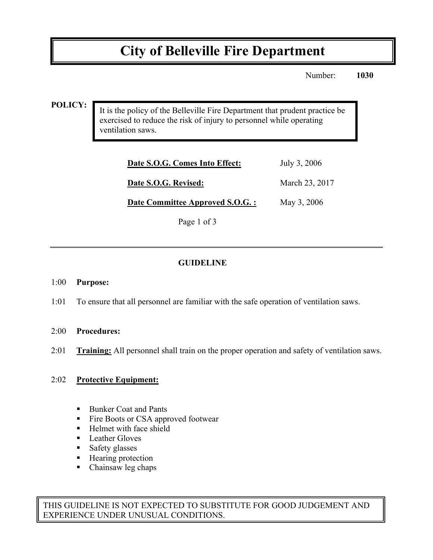# **City of Belleville Fire Department**

Number: **1030**

#### **POLICY:**

It is the policy of the Belleville Fire Department that prudent practice be exercised to reduce the risk of injury to personnel while operating ventilation saws.

| Date S.O.G. Comes Into Effect:   | July 3, 2006   |
|----------------------------------|----------------|
| Date S.O.G. Revised:             | March 23, 2017 |
| Date Committee Approved S.O.G. : | May 3, 2006    |

Page 1 of 3

## **GUIDELINE**

#### 1:00 **Purpose:**

1:01 To ensure that all personnel are familiar with the safe operation of ventilation saws.

#### 2:00 **Procedures:**

2:01 **Training:** All personnel shall train on the proper operation and safety of ventilation saws.

#### 2:02 **Protective Equipment:**

- Bunker Coat and Pants
- Fire Boots or CSA approved footwear
- Helmet with face shield
- **EXECUTE:** Leather Gloves
- **Safety glasses**
- Hearing protection
- Chainsaw leg chaps

THIS GUIDELINE IS NOT EXPECTED TO SUBSTITUTE FOR GOOD JUDGEMENT AND EXPERIENCE UNDER UNUSUAL CONDITIONS.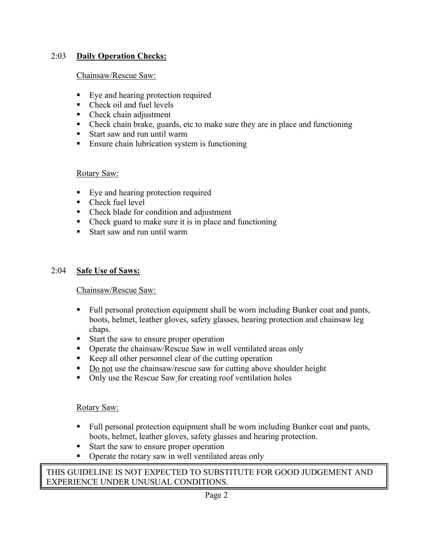## 2:03 **Daily Operation Checks:**

#### Chainsaw/Rescue Saw:

- ! Eye and hearing protection required
- Check oil and fuel levels
- Check chain adjustment
- ! Check chain brake, guards, etc to make sure they are in place and functioning
- Start saw and run until warm
- **Ensure chain lubrication system is functioning**

## Rotary Saw:

- ! Eye and hearing protection required
- Check fuel level
- ! Check blade for condition and adjustment
- ! Check guard to make sure it is in place and functioning
- ! Start saw and run until warm

## 2:04 **Safe Use of Saws:**

#### Chainsaw/Rescue Saw:

- ! Full personal protection equipment shall be worn including Bunker coat and pants, boots, helmet, leather gloves, safety glasses, hearing protection and chainsaw leg chaps.
- ! Start the saw to ensure proper operation
- ! Operate the chainsaw/Rescue Saw in well ventilated areas only
- ! Keep all other personnel clear of the cutting operation
- Do not use the chainsaw/rescue saw for cutting above shoulder height
- ! Only use the Rescue Saw for creating roof ventilation holes

#### Rotary Saw:

- ! Full personal protection equipment shall be worn including Bunker coat and pants, boots, helmet, leather gloves, safety glasses and hearing protection.
- ! Start the saw to ensure proper operation
- ! Operate the rotary saw in well ventilated areas only

## THIS GUIDELINE IS NOT EXPECTED TO SUBSTITUTE FOR GOOD JUDGEMENT AND EXPERIENCE UNDER UNUSUAL CONDITIONS.